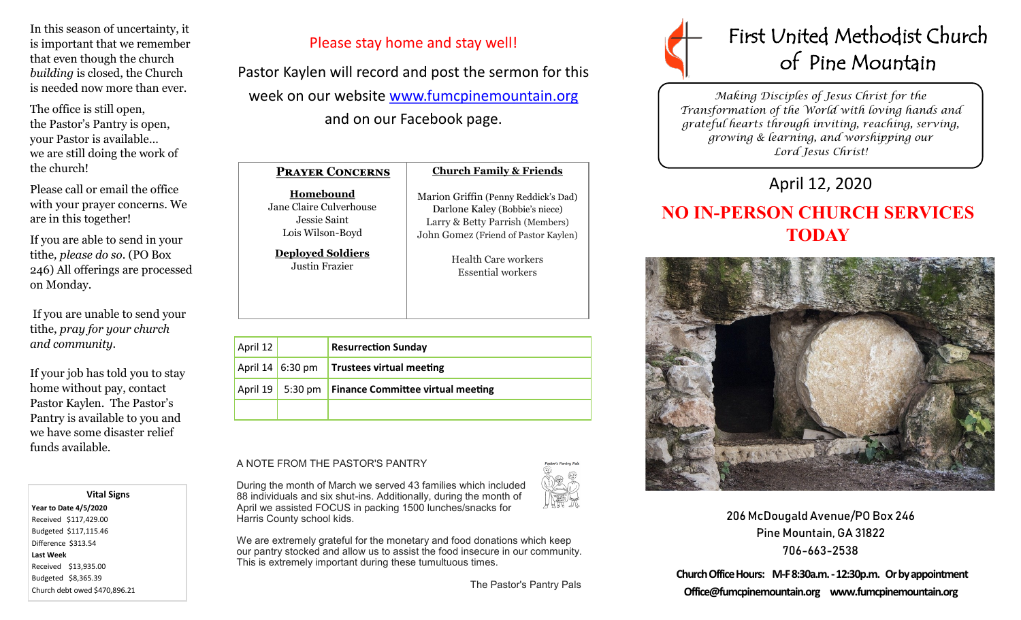In this season of uncertainty, it is important that we remember that even though the church *building* is closed, the Church is needed now more than ever.

The office is still open, the Pastor's Pantry is open, your Pastor is available… we are still doing the work of the church!

Please call or email the office with your prayer concerns. We are in this together!

If you are able to send in your tithe*, please do so*. (PO Box 246) All offerings are processed on Monday.

If you are unable to send your tithe, *pray for your church and community*.

If your job has told you to stay home without pay, contact Pastor Kaylen. The Pastor's Pantry is available to you and we have some disaster relief funds available.

 **Vital Signs Year to Date 4/5/2020**  Received \$117,429.00 Budgeted \$117,115.46 Difference \$313.54 **Last Week**  Received \$13,935.00 Budgeted \$8,365.39 Church debt owed \$470,896.21 Please stay home and stay well!

Pastor Kaylen will record and post the sermon for this week on our website [www.fumcpinemountain.org](http://www.fumcpinemountain.org) and on our Facebook page.

| <b>PRAYER CONCERNS</b>   | <b>Church Family &amp; Friends</b>   |
|--------------------------|--------------------------------------|
| Homebound                | Marion Griffin (Penny Reddick's Dad) |
| Jane Claire Culverhouse  | Darlone Kaley (Bobbie's niece)       |
| Jessie Saint             | Larry & Betty Parrish (Members)      |
| Lois Wilson-Boyd         | John Gomez (Friend of Pastor Kaylen) |
| <b>Deployed Soldiers</b> | Health Care workers                  |
| Justin Frazier           | Essential workers                    |

|  | April 12 |                                 | <b>Resurrection Sunday</b>                             |
|--|----------|---------------------------------|--------------------------------------------------------|
|  |          | April $14 \mid 6:30 \text{ pm}$ | Trustees virtual meeting                               |
|  |          |                                 | April 19   5:30 pm   Finance Committee virtual meeting |
|  |          |                                 |                                                        |

## A NOTE FROM THE PASTOR'S PANTRY

During the month of March we served 43 families which included 88 individuals and six shut-ins. Additionally, during the month of April we assisted FOCUS in packing 1500 lunches/snacks for Harris County school kids.



We are extremely grateful for the monetary and food donations which keep our pantry stocked and allow us to assist the food insecure in our community. This is extremely important during these tumultuous times.

The Pastor's Pantry Pals



*Making Disciples of Jesus Christ for the Transformation of the World with loving hands and grateful hearts through inviting, reaching, serving, growing & learning, and worshipping our Lord Jesus Christ!* 

## April 12, 2020

## **NO IN-PERSON CHURCH SERVICES TODAY**



206 McDougald Avenue/PO Box 246 Pine Mountain, GA 31822 706-663-2538

**Church Office Hours: M-F 8:30a.m. -12:30p.m. Or by appointment Office@fumcpinemountain.org www.fumcpinemountain.org**